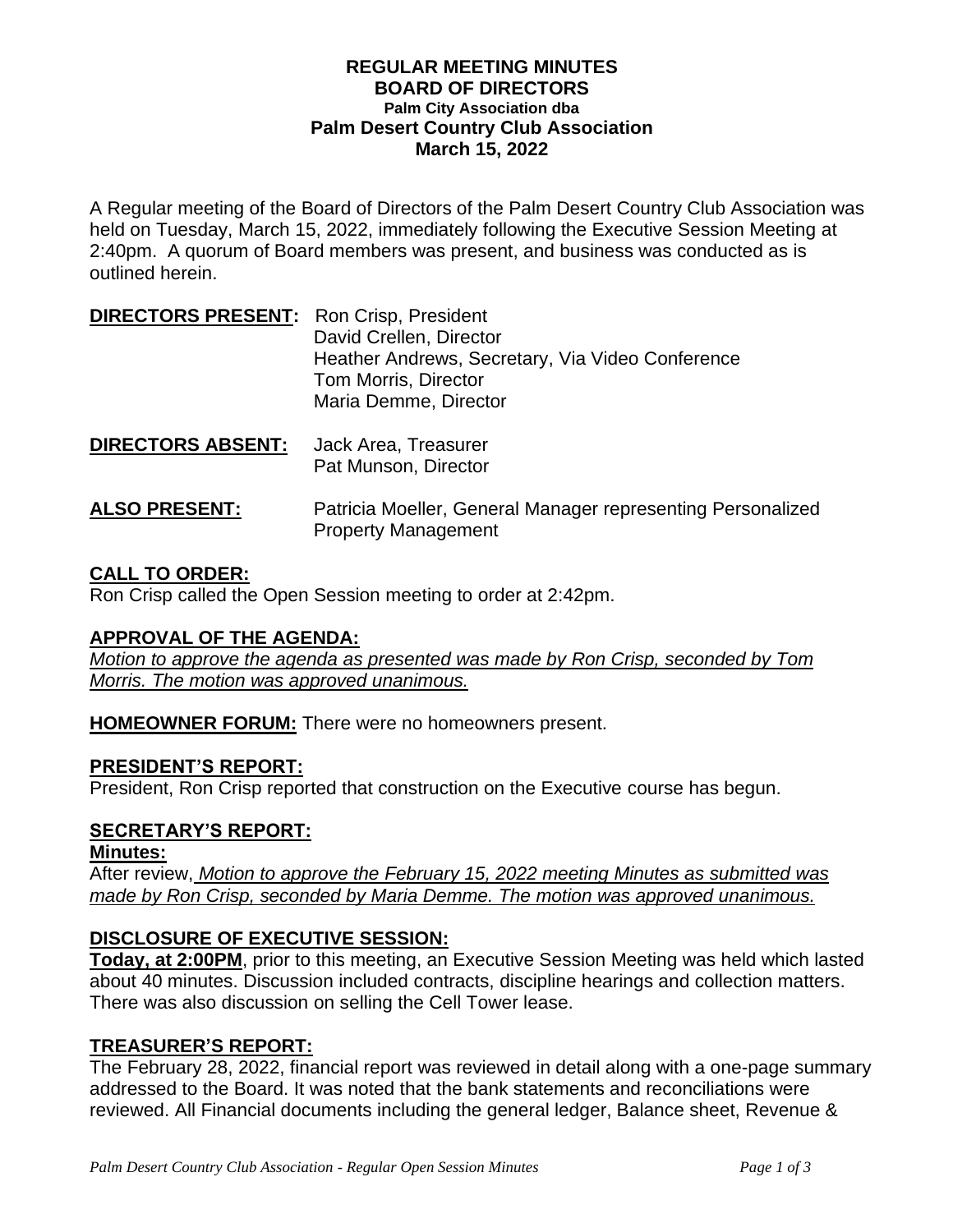### **REGULAR MEETING MINUTES BOARD OF DIRECTORS Palm City Association dba Palm Desert Country Club Association March 15, 2022**

A Regular meeting of the Board of Directors of the Palm Desert Country Club Association was held on Tuesday, March 15, 2022, immediately following the Executive Session Meeting at 2:40pm. A quorum of Board members was present, and business was conducted as is outlined herein.

| <b>DIRECTORS PRESENT:</b> Ron Crisp, President |                                                  |
|------------------------------------------------|--------------------------------------------------|
|                                                | David Crellen, Director                          |
|                                                | Heather Andrews, Secretary, Via Video Conference |
|                                                | Tom Morris, Director                             |
|                                                | Maria Demme, Director                            |
|                                                |                                                  |

- **DIRECTORS ABSENT:** Jack Area, Treasurer Pat Munson, Director
- **ALSO PRESENT:** Patricia Moeller, General Manager representing Personalized Property Management

# **CALL TO ORDER:**

Ron Crisp called the Open Session meeting to order at 2:42pm.

# **APPROVAL OF THE AGENDA:**

*Motion to approve the agenda as presented was made by Ron Crisp, seconded by Tom Morris. The motion was approved unanimous.*

**HOMEOWNER FORUM:** There were no homeowners present.

# **PRESIDENT'S REPORT:**

President, Ron Crisp reported that construction on the Executive course has begun.

# **SECRETARY'S REPORT:**

#### **Minutes:**

After review, *Motion to approve the February 15, 2022 meeting Minutes as submitted was made by Ron Crisp, seconded by Maria Demme. The motion was approved unanimous.*

# **DISCLOSURE OF EXECUTIVE SESSION:**

**Today, at 2:00PM**, prior to this meeting, an Executive Session Meeting was held which lasted about 40 minutes. Discussion included contracts, discipline hearings and collection matters. There was also discussion on selling the Cell Tower lease.

# **TREASURER'S REPORT:**

The February 28, 2022, financial report was reviewed in detail along with a one-page summary addressed to the Board. It was noted that the bank statements and reconciliations were reviewed. All Financial documents including the general ledger, Balance sheet, Revenue &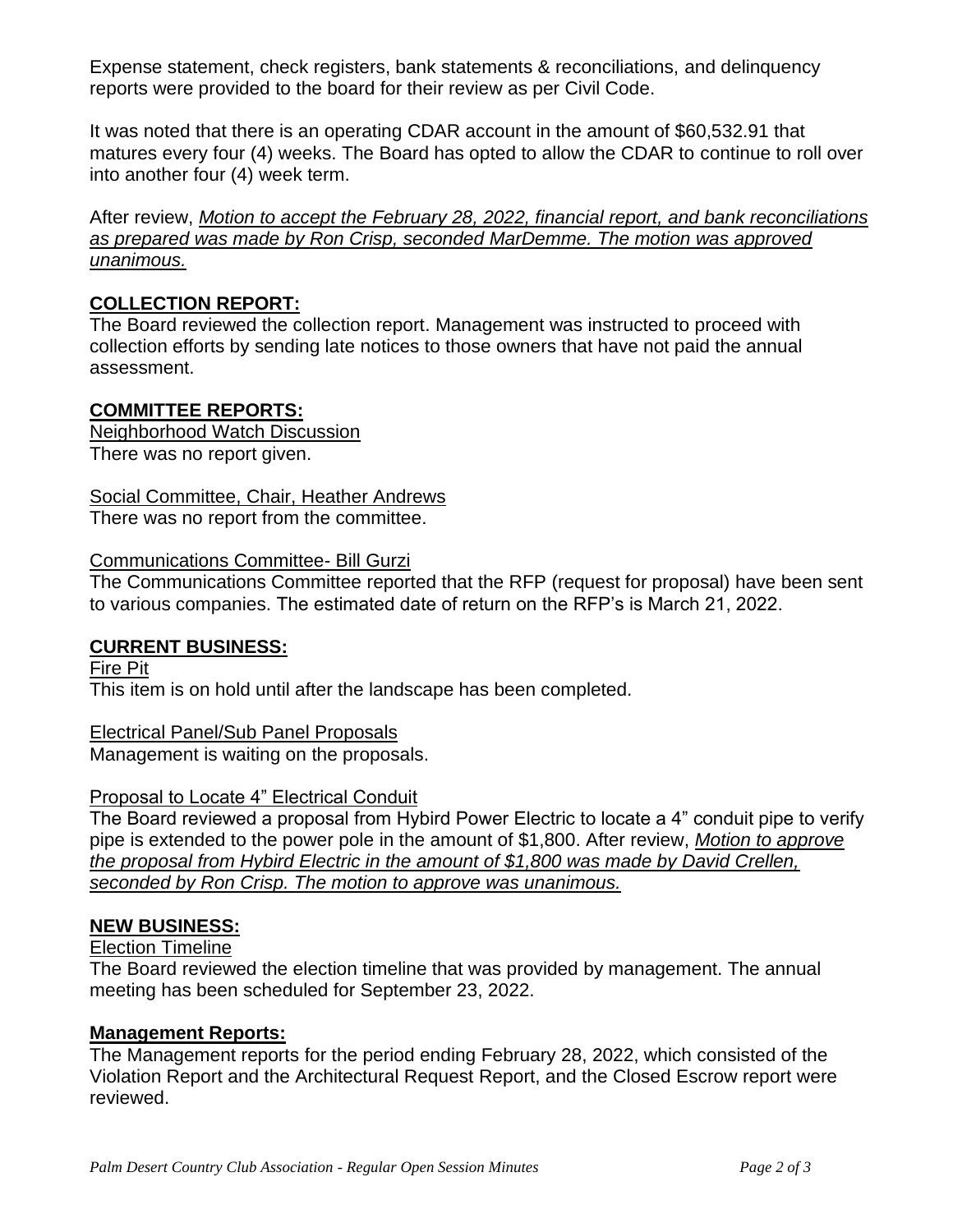Expense statement, check registers, bank statements & reconciliations, and delinquency reports were provided to the board for their review as per Civil Code.

It was noted that there is an operating CDAR account in the amount of \$60,532.91 that matures every four (4) weeks. The Board has opted to allow the CDAR to continue to roll over into another four (4) week term.

After review, *Motion to accept the February 28, 2022, financial report, and bank reconciliations as prepared was made by Ron Crisp, seconded MarDemme. The motion was approved unanimous.* 

# **COLLECTION REPORT:**

The Board reviewed the collection report. Management was instructed to proceed with collection efforts by sending late notices to those owners that have not paid the annual assessment.

# **COMMITTEE REPORTS:**

Neighborhood Watch Discussion There was no report given.

Social Committee, Chair, Heather Andrews

There was no report from the committee.

### Communications Committee- Bill Gurzi

The Communications Committee reported that the RFP (request for proposal) have been sent to various companies. The estimated date of return on the RFP's is March 21, 2022.

# **CURRENT BUSINESS:**

Fire Pit This item is on hold until after the landscape has been completed.

# Electrical Panel/Sub Panel Proposals

Management is waiting on the proposals.

# Proposal to Locate 4" Electrical Conduit

The Board reviewed a proposal from Hybird Power Electric to locate a 4" conduit pipe to verify pipe is extended to the power pole in the amount of \$1,800. After review, *Motion to approve the proposal from Hybird Electric in the amount of \$1,800 was made by David Crellen, seconded by Ron Crisp. The motion to approve was unanimous.*

# **NEW BUSINESS:**

# Election Timeline

The Board reviewed the election timeline that was provided by management. The annual meeting has been scheduled for September 23, 2022.

# **Management Reports:**

The Management reports for the period ending February 28, 2022, which consisted of the Violation Report and the Architectural Request Report, and the Closed Escrow report were reviewed.